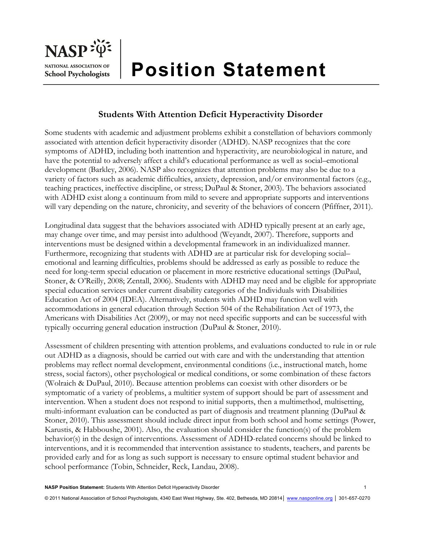

## **Students With Attention Deficit Hyperactivity Disorder**

Some students with academic and adjustment problems exhibit a constellation of behaviors commonly associated with attention deficit hyperactivity disorder (ADHD). NASP recognizes that the core symptoms of ADHD, including both inattention and hyperactivity, are neurobiological in nature, and have the potential to adversely affect a child's educational performance as well as social–emotional development (Barkley, 2006). NASP also recognizes that attention problems may also be due to a variety of factors such as academic difficulties, anxiety, depression, and/or environmental factors (e.g., teaching practices, ineffective discipline, or stress; DuPaul & Stoner, 2003). The behaviors associated with ADHD exist along a continuum from mild to severe and appropriate supports and interventions will vary depending on the nature, chronicity, and severity of the behaviors of concern (Pfiffner, 2011).

Longitudinal data suggest that the behaviors associated with ADHD typically present at an early age, may change over time, and may persist into adulthood (Weyandt, 2007). Therefore, supports and interventions must be designed within a developmental framework in an individualized manner. Furthermore, recognizing that students with ADHD are at particular risk for developing social– emotional and learning difficulties, problems should be addressed as early as possible to reduce the need for long-term special education or placement in more restrictive educational settings (DuPaul, Stoner, & O'Reilly, 2008; Zentall, 2006). Students with ADHD may need and be eligible for appropriate special education services under current disability categories of the Individuals with Disabilities Education Act of 2004 (IDEA). Alternatively, students with ADHD may function well with accommodations in general education through Section 504 of the Rehabilitation Act of 1973, the Americans with Disabilities Act (2009), or may not need specific supports and can be successful with typically occurring general education instruction (DuPaul & Stoner, 2010).

Assessment of children presenting with attention problems, and evaluations conducted to rule in or rule out ADHD as a diagnosis, should be carried out with care and with the understanding that attention problems may reflect normal development, environmental conditions (i.e., instructional match, home stress, social factors), other psychological or medical conditions, or some combination of these factors (Wolraich & DuPaul, 2010). Because attention problems can coexist with other disorders or be symptomatic of a variety of problems, a multitier system of support should be part of assessment and intervention. When a student does not respond to initial supports, then a multimethod, multisetting, multi-informant evaluation can be conducted as part of diagnosis and treatment planning (DuPaul & Stoner, 2010). This assessment should include direct input from both school and home settings (Power, Karustis, & Habboushe, 2001). Also, the evaluation should consider the function(s) of the problem behavior(s) in the design of interventions. Assessment of ADHD-related concerns should be linked to interventions, and it is recommended that intervention assistance to students, teachers, and parents be provided early and for as long as such support is necessary to ensure optimal student behavior and school performance (Tobin, Schneider, Reck, Landau, 2008).

**NASP Position Statement:** Students With Attention Deficit Hyperactivity Disorder 1

© 2011 National Association of School Psychologists, 4340 East West Highway, Ste. 402, Bethesda, MD 20814 │ www.nasponline.org │ 301-657-0270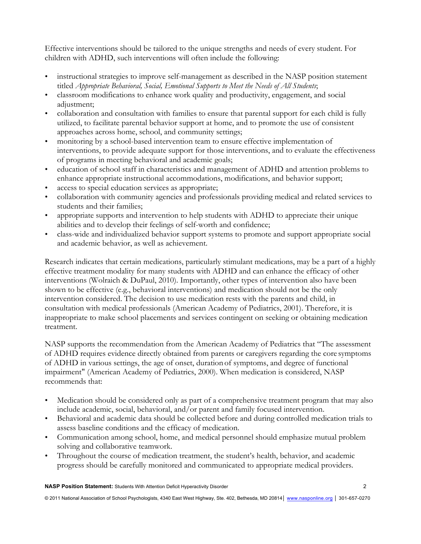Effective interventions should be tailored to the unique strengths and needs of every student. For children with ADHD, such interventions will often include the following:

- instructional strategies to improve self-management as described in the NASP position statement titled *Appropriate Behavioral, Social, Emotional Supports to Meet the Needs of All Students*;
- classroom modifications to enhance work quality and productivity, engagement, and social adjustment;
- collaboration and consultation with families to ensure that parental support for each child is fully utilized, to facilitate parental behavior support at home, and to promote the use of consistent approaches across home, school, and community settings;
- monitoring by a school-based intervention team to ensure effective implementation of interventions, to provide adequate support for those interventions, and to evaluate the effectiveness of programs in meeting behavioral and academic goals;
- education of school staff in characteristics and management of ADHD and attention problems to enhance appropriate instructional accommodations, modifications, and behavior support;
- access to special education services as appropriate;
- collaboration with community agencies and professionals providing medical and related services to students and their families;
- appropriate supports and intervention to help students with ADHD to appreciate their unique abilities and to develop their feelings of self-worth and confidence;
- class-wide and individualized behavior support systems to promote and support appropriate social and academic behavior, as well as achievement.

Research indicates that certain medications, particularly stimulant medications, may be a part of a highly effective treatment modality for many students with ADHD and can enhance the efficacy of other interventions (Wolraich & DuPaul, 2010). Importantly, other types of intervention also have been shown to be effective (e.g., behavioral interventions) and medication should not be the only intervention considered. The decision to use medication rests with the parents and child, in consultation with medical professionals (American Academy of Pediatrics, 2001). Therefore, it is inappropriate to make school placements and services contingent on seeking or obtaining medication treatment.

NASP supports the recommendation from the American Academy of Pediatrics that "The assessment of ADHD requires evidence directly obtained from parents or caregivers regarding the core symptoms of ADHD in various settings, the age of onset, duration of symptoms, and degree of functional impairment" (American Academy of Pediatrics, 2000). When medication is considered, NASP recommends that:

- Medication should be considered only as part of a comprehensive treatment program that may also include academic, social, behavioral, and/or parent and family focused intervention.
- Behavioral and academic data should be collected before and during controlled medication trials to assess baseline conditions and the efficacy of medication.
- Communication among school, home, and medical personnel should emphasize mutual problem solving and collaborative teamwork.
- Throughout the course of medication treatment, the student's health, behavior, and academic progress should be carefully monitored and communicated to appropriate medical providers.

**NASP Position Statement:** Students With Attention Deficit Hyperactivity Disorder 2

© 2011 National Association of School Psychologists, 4340 East West Highway, Ste. 402, Bethesda, MD 20814 | www.nasponline.org | 301-657-0270